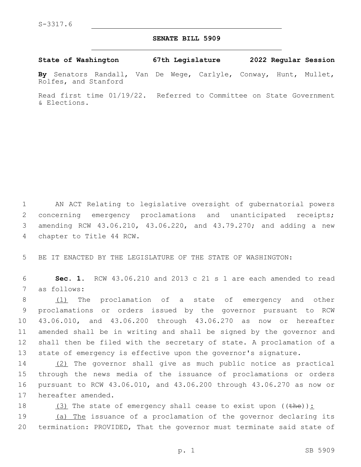## **SENATE BILL 5909**

**State of Washington 67th Legislature 2022 Regular Session**

**By** Senators Randall, Van De Wege, Carlyle, Conway, Hunt, Mullet, Rolfes, and Stanford

Read first time 01/19/22. Referred to Committee on State Government & Elections.

1 AN ACT Relating to legislative oversight of gubernatorial powers 2 concerning emergency proclamations and unanticipated receipts; 3 amending RCW 43.06.210, 43.06.220, and 43.79.270; and adding a new 4 chapter to Title 44 RCW.

5 BE IT ENACTED BY THE LEGISLATURE OF THE STATE OF WASHINGTON:

6 **Sec. 1.** RCW 43.06.210 and 2013 c 21 s 1 are each amended to read 7 as follows:

 (1) The proclamation of a state of emergency and other proclamations or orders issued by the governor pursuant to RCW 43.06.010, and 43.06.200 through 43.06.270 as now or hereafter amended shall be in writing and shall be signed by the governor and shall then be filed with the secretary of state. A proclamation of a state of emergency is effective upon the governor's signature.

 (2) The governor shall give as much public notice as practical through the news media of the issuance of proclamations or orders pursuant to RCW 43.06.010, and 43.06.200 through 43.06.270 as now or 17 hereafter amended.

18  $(3)$  The state of emergency shall cease to exist upon ((the)):

19 (a) The issuance of a proclamation of the governor declaring its 20 termination: PROVIDED, That the governor must terminate said state of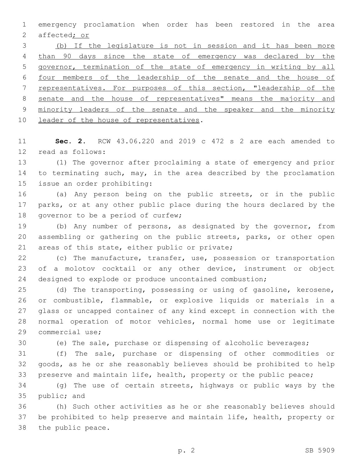emergency proclamation when order has been restored in the area affected; or

 (b) If the legislature is not in session and it has been more 4 than 90 days since the state of emergency was declared by the governor, termination of the state of emergency in writing by all four members of the leadership of the senate and the house of representatives. For purposes of this section, "leadership of the senate and the house of representatives" means the majority and minority leaders of the senate and the speaker and the minority 10 leader of the house of representatives.

 **Sec. 2.** RCW 43.06.220 and 2019 c 472 s 2 are each amended to 12 read as follows:

 (1) The governor after proclaiming a state of emergency and prior 14 to terminating such, may, in the area described by the proclamation 15 issue an order prohibiting:

 (a) Any person being on the public streets, or in the public parks, or at any other public place during the hours declared by the 18 governor to be a period of curfew;

 (b) Any number of persons, as designated by the governor, from assembling or gathering on the public streets, parks, or other open 21 areas of this state, either public or private;

 (c) The manufacture, transfer, use, possession or transportation of a molotov cocktail or any other device, instrument or object designed to explode or produce uncontained combustion;

 (d) The transporting, possessing or using of gasoline, kerosene, or combustible, flammable, or explosive liquids or materials in a glass or uncapped container of any kind except in connection with the normal operation of motor vehicles, normal home use or legitimate 29 commercial use;

(e) The sale, purchase or dispensing of alcoholic beverages;

 (f) The sale, purchase or dispensing of other commodities or goods, as he or she reasonably believes should be prohibited to help preserve and maintain life, health, property or the public peace;

 (g) The use of certain streets, highways or public ways by the 35 public; and

 (h) Such other activities as he or she reasonably believes should be prohibited to help preserve and maintain life, health, property or 38 the public peace.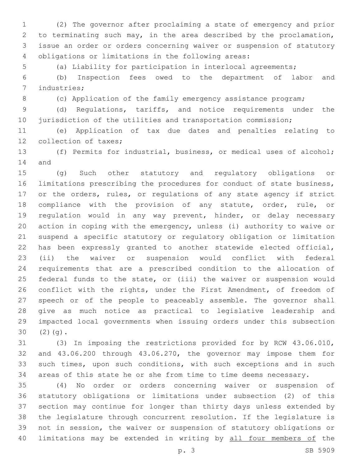(2) The governor after proclaiming a state of emergency and prior to terminating such may, in the area described by the proclamation, issue an order or orders concerning waiver or suspension of statutory 4 obligations or limitations in the following areas:

(a) Liability for participation in interlocal agreements;

 (b) Inspection fees owed to the department of labor and 7 industries;

8 (c) Application of the family emergency assistance program;

 (d) Regulations, tariffs, and notice requirements under the 10 jurisdiction of the utilities and transportation commission;

 (e) Application of tax due dates and penalties relating to 12 collection of taxes;

 (f) Permits for industrial, business, or medical uses of alcohol; 14 and

 (g) Such other statutory and regulatory obligations or limitations prescribing the procedures for conduct of state business, or the orders, rules, or regulations of any state agency if strict compliance with the provision of any statute, order, rule, or regulation would in any way prevent, hinder, or delay necessary action in coping with the emergency, unless (i) authority to waive or suspend a specific statutory or regulatory obligation or limitation has been expressly granted to another statewide elected official, (ii) the waiver or suspension would conflict with federal requirements that are a prescribed condition to the allocation of federal funds to the state, or (iii) the waiver or suspension would 26 conflict with the rights, under the First Amendment, of freedom of speech or of the people to peaceably assemble. The governor shall give as much notice as practical to legislative leadership and impacted local governments when issuing orders under this subsection  $30(2)(q).$ 

 (3) In imposing the restrictions provided for by RCW 43.06.010, and 43.06.200 through 43.06.270, the governor may impose them for such times, upon such conditions, with such exceptions and in such areas of this state he or she from time to time deems necessary.

 (4) No order or orders concerning waiver or suspension of statutory obligations or limitations under subsection (2) of this section may continue for longer than thirty days unless extended by the legislature through concurrent resolution. If the legislature is not in session, the waiver or suspension of statutory obligations or 40 limitations may be extended in writing by all four members of the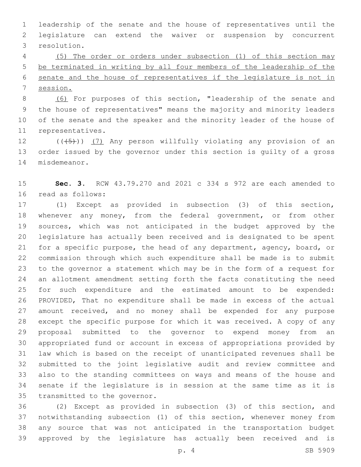leadership of the senate and the house of representatives until the legislature can extend the waiver or suspension by concurrent 3 resolution.

 (5) The order or orders under subsection (1) of this section may be terminated in writing by all four members of the leadership of the senate and the house of representatives if the legislature is not in session.

 (6) For purposes of this section, "leadership of the senate and the house of representatives" means the majority and minority leaders of the senate and the speaker and the minority leader of the house of 11 representatives.

12  $((+5+))$   $(7)$  Any person willfully violating any provision of an order issued by the governor under this section is guilty of a gross 14 misdemeanor.

 **Sec. 3.** RCW 43.79.270 and 2021 c 334 s 972 are each amended to 16 read as follows:

 (1) Except as provided in subsection (3) of this section, whenever any money, from the federal government, or from other sources, which was not anticipated in the budget approved by the legislature has actually been received and is designated to be spent for a specific purpose, the head of any department, agency, board, or commission through which such expenditure shall be made is to submit to the governor a statement which may be in the form of a request for an allotment amendment setting forth the facts constituting the need for such expenditure and the estimated amount to be expended: PROVIDED, That no expenditure shall be made in excess of the actual amount received, and no money shall be expended for any purpose except the specific purpose for which it was received. A copy of any proposal submitted to the governor to expend money from an appropriated fund or account in excess of appropriations provided by law which is based on the receipt of unanticipated revenues shall be submitted to the joint legislative audit and review committee and also to the standing committees on ways and means of the house and senate if the legislature is in session at the same time as it is 35 transmitted to the governor.

 (2) Except as provided in subsection (3) of this section, and notwithstanding subsection (1) of this section, whenever money from any source that was not anticipated in the transportation budget approved by the legislature has actually been received and is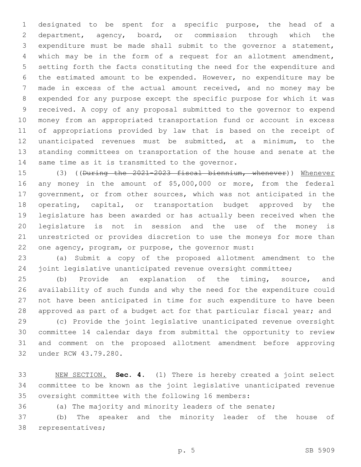designated to be spent for a specific purpose, the head of a department, agency, board, or commission through which the expenditure must be made shall submit to the governor a statement, which may be in the form of a request for an allotment amendment, setting forth the facts constituting the need for the expenditure and the estimated amount to be expended. However, no expenditure may be made in excess of the actual amount received, and no money may be expended for any purpose except the specific purpose for which it was received. A copy of any proposal submitted to the governor to expend money from an appropriated transportation fund or account in excess of appropriations provided by law that is based on the receipt of unanticipated revenues must be submitted, at a minimum, to the standing committees on transportation of the house and senate at the 14 same time as it is transmitted to the governor.

15 (3) ((During the 2021-2023 fiscal biennium, whenever)) Whenever any money in the amount of \$5,000,000 or more, from the federal government, or from other sources, which was not anticipated in the 18 operating, capital, or transportation budget approved by the legislature has been awarded or has actually been received when the legislature is not in session and the use of the money is unrestricted or provides discretion to use the moneys for more than one agency, program, or purpose, the governor must:

 (a) Submit a copy of the proposed allotment amendment to the joint legislative unanticipated revenue oversight committee;

 (b) Provide an explanation of the timing, source, and availability of such funds and why the need for the expenditure could not have been anticipated in time for such expenditure to have been approved as part of a budget act for that particular fiscal year; and

 (c) Provide the joint legislative unanticipated revenue oversight committee 14 calendar days from submittal the opportunity to review and comment on the proposed allotment amendment before approving 32 under RCW 43.79.280.

 NEW SECTION. **Sec. 4.** (1) There is hereby created a joint select committee to be known as the joint legislative unanticipated revenue oversight committee with the following 16 members:

(a) The majority and minority leaders of the senate;

 (b) The speaker and the minority leader of the house of 38 representatives;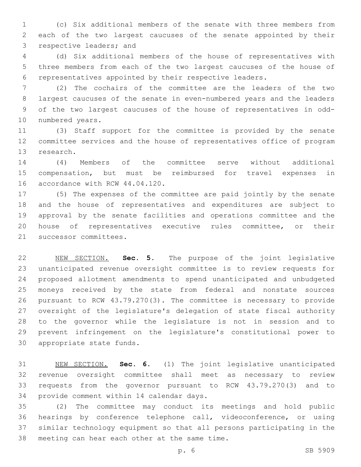(c) Six additional members of the senate with three members from each of the two largest caucuses of the senate appointed by their 3 respective leaders; and

 (d) Six additional members of the house of representatives with three members from each of the two largest caucuses of the house of representatives appointed by their respective leaders.

 (2) The cochairs of the committee are the leaders of the two largest caucuses of the senate in even-numbered years and the leaders of the two largest caucuses of the house of representatives in odd-10 numbered years.

 (3) Staff support for the committee is provided by the senate committee services and the house of representatives office of program 13 research.

 (4) Members of the committee serve without additional compensation, but must be reimbursed for travel expenses in 16 accordance with RCW 44.04.120.

 (5) The expenses of the committee are paid jointly by the senate and the house of representatives and expenditures are subject to approval by the senate facilities and operations committee and the house of representatives executive rules committee, or their 21 successor committees.

 NEW SECTION. **Sec. 5.** The purpose of the joint legislative unanticipated revenue oversight committee is to review requests for proposed allotment amendments to spend unanticipated and unbudgeted moneys received by the state from federal and nonstate sources pursuant to RCW 43.79.270(3). The committee is necessary to provide oversight of the legislature's delegation of state fiscal authority to the governor while the legislature is not in session and to prevent infringement on the legislature's constitutional power to appropriate state funds.

 NEW SECTION. **Sec. 6.** (1) The joint legislative unanticipated revenue oversight committee shall meet as necessary to review requests from the governor pursuant to RCW 43.79.270(3) and to provide comment within 14 calendar days.

 (2) The committee may conduct its meetings and hold public hearings by conference telephone call, videoconference, or using similar technology equipment so that all persons participating in the 38 meeting can hear each other at the same time.